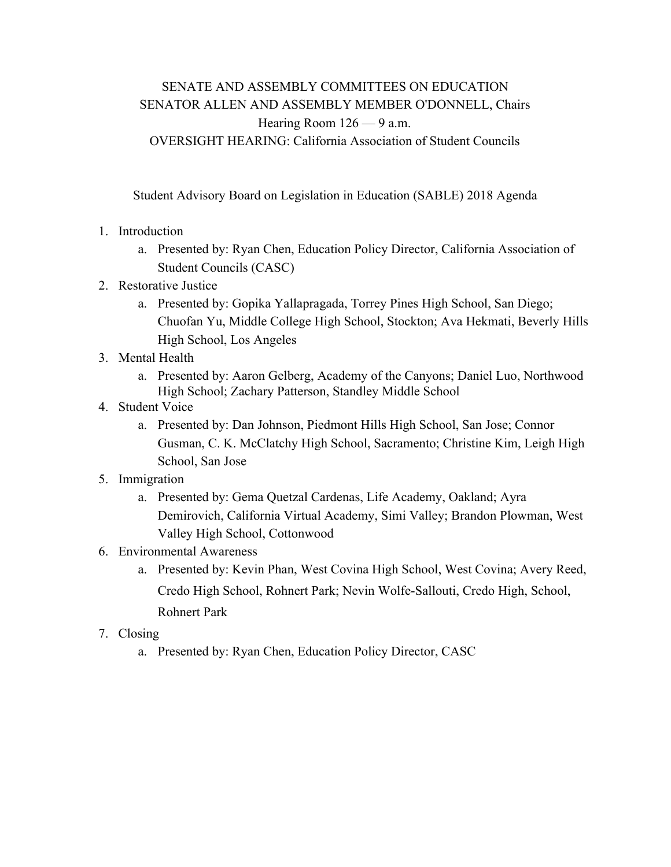## SENATE AND ASSEMBLY COMMITTEES ON EDUCATION SENATOR ALLEN AND ASSEMBLY MEMBER O'DONNELL, Chairs Hearing Room 126 — 9 a.m. OVERSIGHT HEARING: California Association of Student Councils

Student Advisory Board on Legislation in Education (SABLE) 2018 Agenda

- 1. Introduction
	- a. Presented by: Ryan Chen, Education Policy Director, California Association of Student Councils (CASC)
- 2. Restorative Justice
	- a. Presented by: Gopika Yallapragada, Torrey Pines High School, San Diego; Chuofan Yu, Middle College High School, Stockton; Ava Hekmati, Beverly Hills High School, Los Angeles
- 3. Mental Health
	- a. Presented by: Aaron Gelberg, Academy of the Canyons; Daniel Luo, Northwood High School; Zachary Patterson, Standley Middle School
- 4. Student Voice
	- a. Presented by: Dan Johnson, Piedmont Hills High School, San Jose; Connor Gusman, C. K. McClatchy High School, Sacramento; Christine Kim, Leigh High School, San Jose
- 5. Immigration
	- a. Presented by: Gema Quetzal Cardenas, Life Academy, Oakland; Ayra Demirovich, California Virtual Academy, Simi Valley; Brandon Plowman, West Valley High School, Cottonwood
- 6. Environmental Awareness
	- a. Presented by: Kevin Phan, West Covina High School, West Covina; Avery Reed, Credo High School, Rohnert Park; Nevin Wolfe-Sallouti, Credo High, School, Rohnert Park
- 7. Closing
	- a. Presented by: Ryan Chen, Education Policy Director, CASC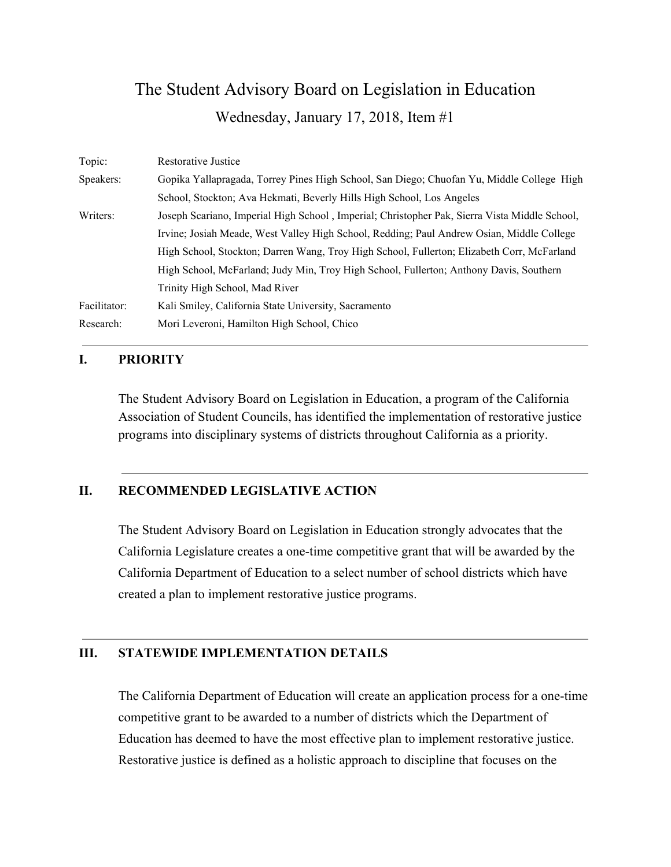## The Student Advisory Board on Legislation in Education Wednesday, January 17, 2018, Item #1

| Topic:       | Restorative Justice                                                                           |
|--------------|-----------------------------------------------------------------------------------------------|
| Speakers:    | Gopika Yallapragada, Torrey Pines High School, San Diego; Chuofan Yu, Middle College High     |
|              | School, Stockton; Ava Hekmati, Beverly Hills High School, Los Angeles                         |
| Writers:     | Joseph Scariano, Imperial High School, Imperial; Christopher Pak, Sierra Vista Middle School, |
|              | Irvine; Josiah Meade, West Valley High School, Redding; Paul Andrew Osian, Middle College     |
|              | High School, Stockton; Darren Wang, Troy High School, Fullerton; Elizabeth Corr, McFarland    |
|              | High School, McFarland; Judy Min, Troy High School, Fullerton; Anthony Davis, Southern        |
|              | Trinity High School, Mad River                                                                |
| Facilitator: | Kali Smiley, California State University, Sacramento                                          |
| Research:    | Mori Leveroni, Hamilton High School, Chico                                                    |

### **I. PRIORITY**

The Student Advisory Board on Legislation in Education, a program of the California Association of Student Councils, has identified the implementation of restorative justice programs into disciplinary systems of districts throughout California as a priority.

## **II. RECOMMENDED LEGISLATIVE ACTION**

The Student Advisory Board on Legislation in Education strongly advocates that the California Legislature creates a one-time competitive grant that will be awarded by the California Department of Education to a select number of school districts which have created a plan to implement restorative justice programs.

#### **III. STATEWIDE IMPLEMENTATION DETAILS**

The California Department of Education will create an application process for a one-time competitive grant to be awarded to a number of districts which the Department of Education has deemed to have the most effective plan to implement restorative justice. Restorative justice is defined as a holistic approach to discipline that focuses on the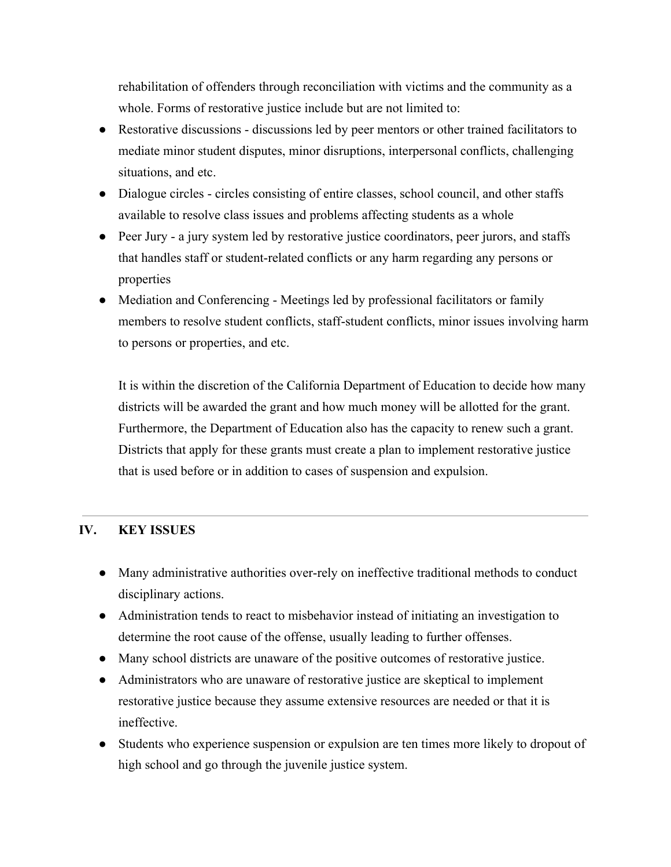rehabilitation of offenders through reconciliation with victims and the community as a whole. Forms of restorative justice include but are not limited to:

- Restorative discussions discussions led by peer mentors or other trained facilitators to mediate minor student disputes, minor disruptions, interpersonal conflicts, challenging situations, and etc.
- Dialogue circles circles consisting of entire classes, school council, and other staffs available to resolve class issues and problems affecting students as a whole
- Peer Jury a jury system led by restorative justice coordinators, peer jurors, and staffs that handles staff or student-related conflicts or any harm regarding any persons or properties
- Mediation and Conferencing Meetings led by professional facilitators or family members to resolve student conflicts, staff-student conflicts, minor issues involving harm to persons or properties, and etc.

It is within the discretion of the California Department of Education to decide how many districts will be awarded the grant and how much money will be allotted for the grant. Furthermore, the Department of Education also has the capacity to renew such a grant. Districts that apply for these grants must create a plan to implement restorative justice that is used before or in addition to cases of suspension and expulsion.

## **IV. KEY ISSUES**

- Many administrative authorities over-rely on ineffective traditional methods to conduct disciplinary actions.
- Administration tends to react to misbehavior instead of initiating an investigation to determine the root cause of the offense, usually leading to further offenses.
- Many school districts are unaware of the positive outcomes of restorative justice.
- Administrators who are unaware of restorative justice are skeptical to implement restorative justice because they assume extensive resources are needed or that it is ineffective.
- Students who experience suspension or expulsion are ten times more likely to dropout of high school and go through the juvenile justice system.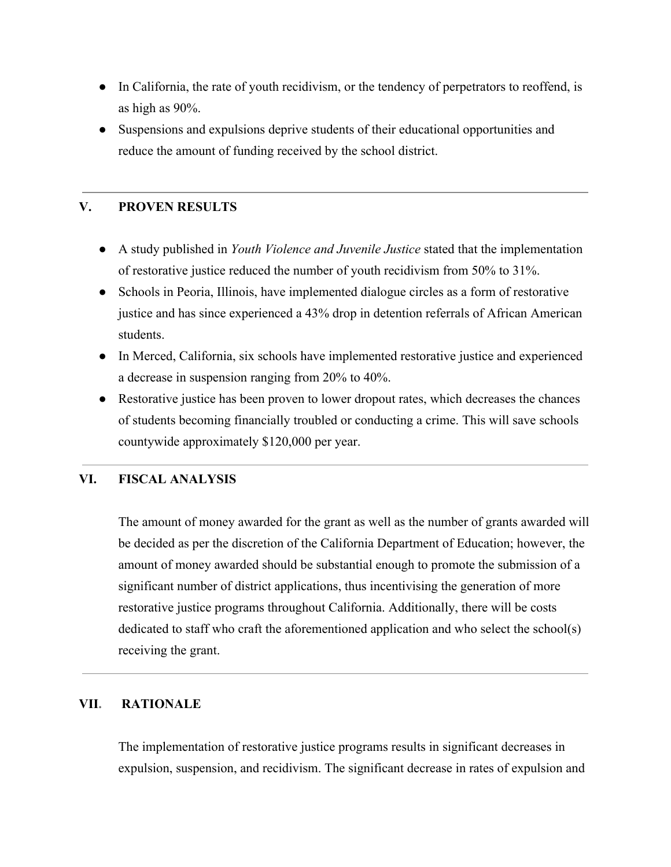- In California, the rate of youth recidivism, or the tendency of perpetrators to reoffend, is as high as 90%.
- Suspensions and expulsions deprive students of their educational opportunities and reduce the amount of funding received by the school district.

## **V. PROVEN RESULTS**

- A study published in *Youth Violence and Juvenile Justice* stated that the implementation of restorative justice reduced the number of youth recidivism from 50% to 31%.
- Schools in Peoria, Illinois, have implemented dialogue circles as a form of restorative justice and has since experienced a 43% drop in detention referrals of African American students.
- In Merced, California, six schools have implemented restorative justice and experienced a decrease in suspension ranging from 20% to 40%.
- Restorative justice has been proven to lower dropout rates, which decreases the chances of students becoming financially troubled or conducting a crime. This will save schools countywide approximately \$120,000 per year.

## **VI. FISCAL ANALYSIS**

The amount of money awarded for the grant as well as the number of grants awarded will be decided as per the discretion of the California Department of Education; however, the amount of money awarded should be substantial enough to promote the submission of a significant number of district applications, thus incentivising the generation of more restorative justice programs throughout California. Additionally, there will be costs dedicated to staff who craft the aforementioned application and who select the school(s) receiving the grant.

## **VII. RATIONALE**

The implementation of restorative justice programs results in significant decreases in expulsion, suspension, and recidivism. The significant decrease in rates of expulsion and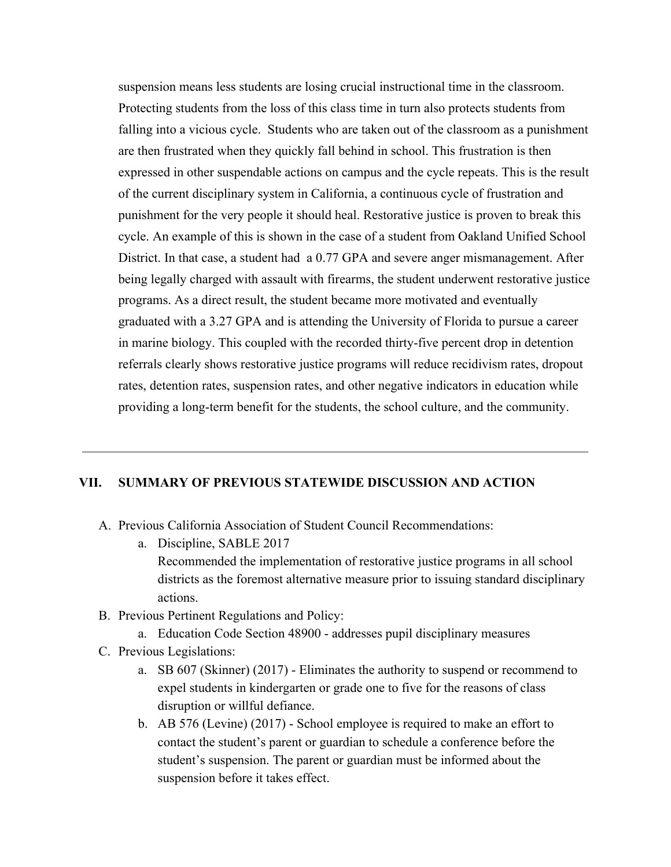suspension means less students are losing crucial instructional time in the classroom. Protecting students from the loss of this class time in turn also protects students from falling into a vicious cycle. Students who are taken out of the classroom as a punishment are then frustrated when they quickly fall behind in school. This frustration is then expressed in other suspendable actions on campus and the cycle repeats. This is the result of the current disciplinary system in California, a continuous cycle of frustration and punishment for the very people it should heal. Restorative justice is proven to break this cycle. An example of this is shown in the case of a student from Oakland Unified School District. In that case, a student had a 0.77 GPA and severe anger mismanagement. After being legally charged with assault with firearms, the student underwent restorative justice programs. As a direct result, the student became more motivated and eventually graduated with a 3.27 GPA and is attending the University of Florida to pursue a career in marine biology. This coupled with the recorded thirty-five percent drop in detention referrals clearly shows restorative justice programs will reduce recidivism rates, dropout rates, detention rates, suspension rates, and other negative indicators in education while providing a long-term benefit for the students, the school culture, and the community.

### **VII. SUMMARY OF PREVIOUS STATEWIDE DISCUSSION AND ACTION**

- A. Previous California Association of Student Council Recommendations:
	- a. Discipline, SABLE 2017 Recommended the implementation of restorative justice programs in all school districts as the foremost alternative measure prior to issuing standard disciplinary actions.
- B. Previous Pertinent Regulations and Policy:
	- a. Education Code Section 48900 addresses pupil disciplinary measures
- C. Previous Legislations:
	- a. SB 607 (Skinner) (2017) Eliminates the authority to suspend or recommend to expel students in kindergarten or grade one to five for the reasons of class disruption or willful defiance.
	- b. AB 576 (Levine) (2017) School employee is required to make an effort to contact the student's parent or guardian to schedule a conference before the student's suspension. The parent or guardian must be informed about the suspension before it takes effect.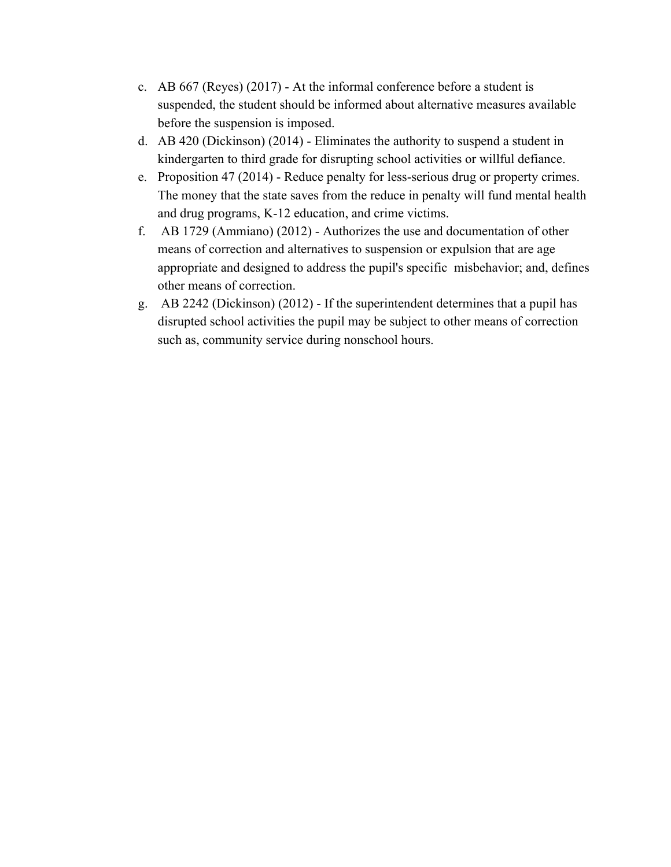- c. AB 667 (Reyes) (2017) At the informal conference before a student is suspended, the student should be informed about alternative measures available before the suspension is imposed.
- d. AB 420 (Dickinson) (2014) Eliminates the authority to suspend a student in kindergarten to third grade for disrupting school activities or willful defiance.
- e. Proposition 47 (2014) Reduce penalty for less-serious drug or property crimes. The money that the state saves from the reduce in penalty will fund mental health and drug programs, K-12 education, and crime victims.
- f. AB 1729 (Ammiano) (2012) Authorizes the use and documentation of other means of correction and alternatives to suspension or expulsion that are age appropriate and designed to address the pupil's specific misbehavior; and, defines other means of correction.
- g. AB 2242 (Dickinson) (2012) If the superintendent determines that a pupil has disrupted school activities the pupil may be subject to other means of correction such as, community service during nonschool hours.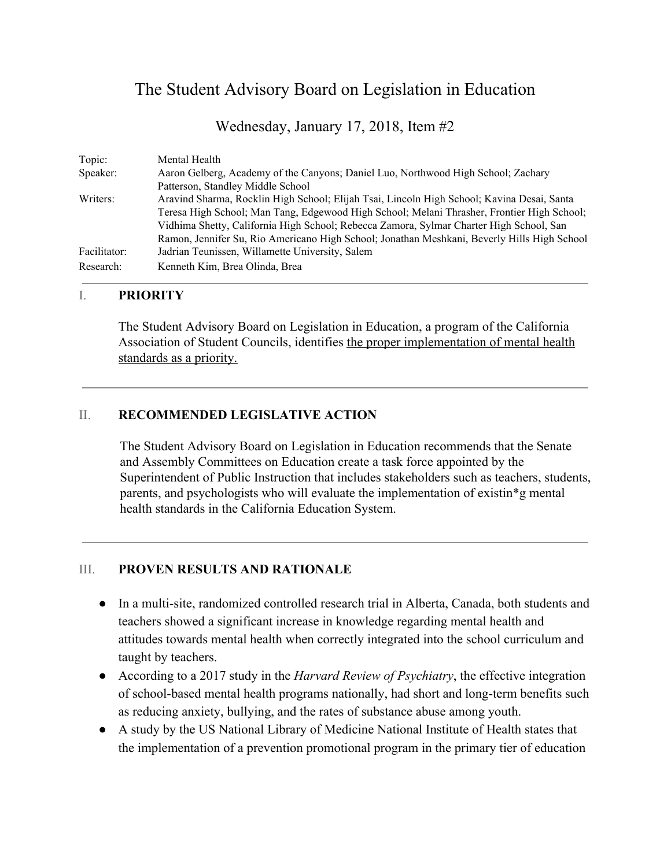## The Student Advisory Board on Legislation in Education

Wednesday, January 17, 2018, Item #2

| Topic:       | Mental Health                                                                               |
|--------------|---------------------------------------------------------------------------------------------|
| Speaker:     | Aaron Gelberg, Academy of the Canyons; Daniel Luo, Northwood High School; Zachary           |
|              | Patterson, Standley Middle School                                                           |
| Writers:     | Aravind Sharma, Rocklin High School; Elijah Tsai, Lincoln High School; Kavina Desai, Santa  |
|              | Teresa High School; Man Tang, Edgewood High School; Melani Thrasher, Frontier High School;  |
|              | Vidhima Shetty, California High School; Rebecca Zamora, Sylmar Charter High School, San     |
|              | Ramon, Jennifer Su, Rio Americano High School; Jonathan Meshkani, Beverly Hills High School |
| Facilitator: | Jadrian Teunissen, Willamette University, Salem                                             |
| Research:    | Kenneth Kim, Brea Olinda, Brea                                                              |

### I. **PRIORITY**

The Student Advisory Board on Legislation in Education, a program of the California Association of Student Councils, identifies the proper implementation of mental health standards as a priority.

## II. **RECOMMENDED LEGISLATIVE ACTION**

The Student Advisory Board on Legislation in Education recommends that the Senate and Assembly Committees on Education create a task force appointed by the Superintendent of Public Instruction that includes stakeholders such as teachers, students, parents, and psychologists who will evaluate the implementation of existin\*g mental health standards in the California Education System.

## III. **PROVEN RESULTS AND RATIONALE**

- In a multi-site, randomized controlled research trial in Alberta, Canada, both students and teachers showed a significant increase in knowledge regarding mental health and attitudes towards mental health when correctly integrated into the school curriculum and taught by teachers.
- According to a 2017 study in the *Harvard Review of Psychiatry*, the effective integration of school-based mental health programs nationally, had short and long-term benefits such as reducing anxiety, bullying, and the rates of substance abuse among youth.
- A study by the US National Library of Medicine National Institute of Health states that the implementation of a prevention promotional program in the primary tier of education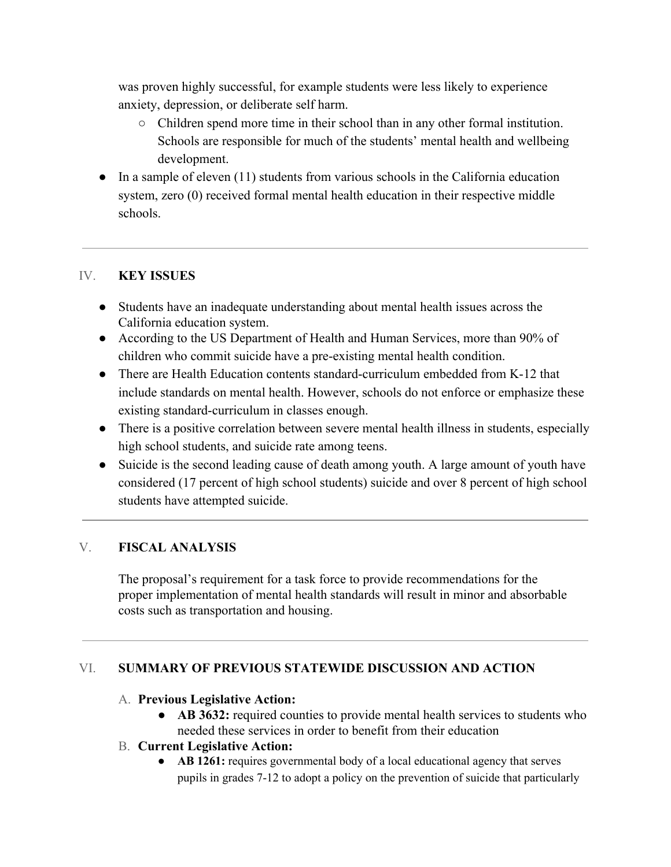was proven highly successful, for example students were less likely to experience anxiety, depression, or deliberate self harm.

- Children spend more time in their school than in any other formal institution. Schools are responsible for much of the students' mental health and wellbeing development.
- $\bullet$  In a sample of eleven (11) students from various schools in the California education system, zero (0) received formal mental health education in their respective middle schools.

## IV. **KEY ISSUES**

- Students have an inadequate understanding about mental health issues across the California education system.
- According to the US Department of Health and Human Services, more than 90% of children who commit suicide have a pre-existing mental health condition.
- There are Health Education contents standard-curriculum embedded from K-12 that include standards on mental health. However, schools do not enforce or emphasize these existing standard-curriculum in classes enough.
- There is a positive correlation between severe mental health illness in students, especially high school students, and suicide rate among teens.
- Suicide is the second leading cause of death among youth. A large amount of youth have considered (17 percent of high school students) suicide and over 8 percent of high school students have attempted suicide.

## V. **FISCAL ANALYSIS**

The proposal's requirement for a task force to provide recommendations for the proper implementation of mental health standards will result in minor and absorbable costs such as transportation and housing.

## VI. **SUMMARY OF PREVIOUS STATEWIDE DISCUSSION AND ACTION**

## A. **Previous Legislative Action:**

- **AB 3632:** required counties to provide mental health services to students who needed these services in order to benefit from their education
- B. **Current Legislative Action:**
	- **AB 1261:** requires governmental body of a local educational agency that serves pupils in grades 7-12 to adopt a policy on the prevention of suicide that particularly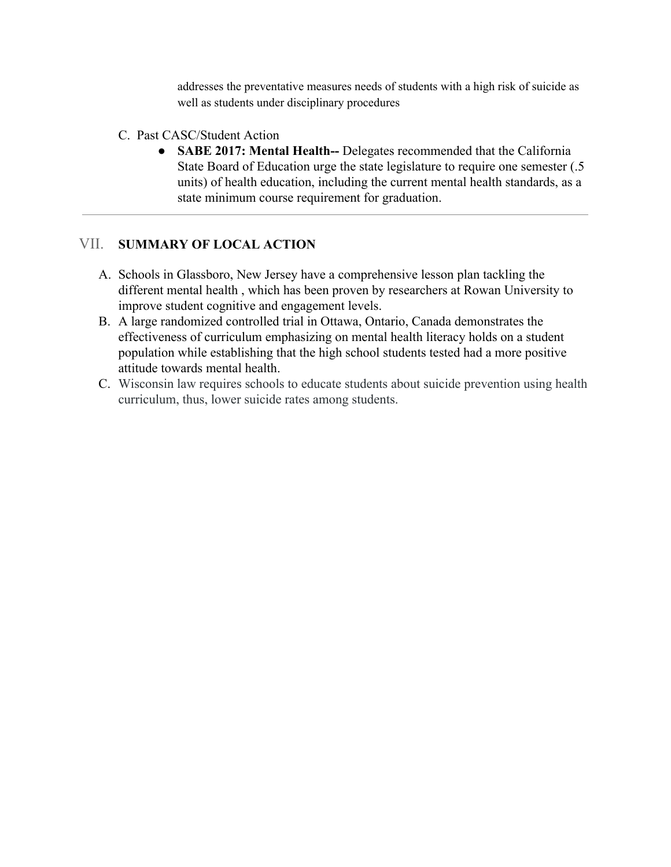addresses the preventative measures needs of students with a high risk of suicide as well as students under disciplinary procedures

- C. Past CASC/Student Action
	- **● SABE 2017: Mental Health--** Delegates recommended that the California State Board of Education urge the state legislature to require one semester (.5 units) of health education, including the current mental health standards, as a state minimum course requirement for graduation.

## VII. **SUMMARY OF LOCAL ACTION**

- A. Schools in Glassboro, New Jersey have a comprehensive lesson plan tackling the different mental health , which has been proven by researchers at Rowan University to improve student cognitive and engagement levels.
- B. A large randomized controlled trial in Ottawa, Ontario, Canada demonstrates the effectiveness of curriculum emphasizing on mental health literacy holds on a student population while establishing that the high school students tested had a more positive attitude towards mental health.
- C. Wisconsin law requires schools to educate students about suicide prevention using health curriculum, thus, lower suicide rates among students.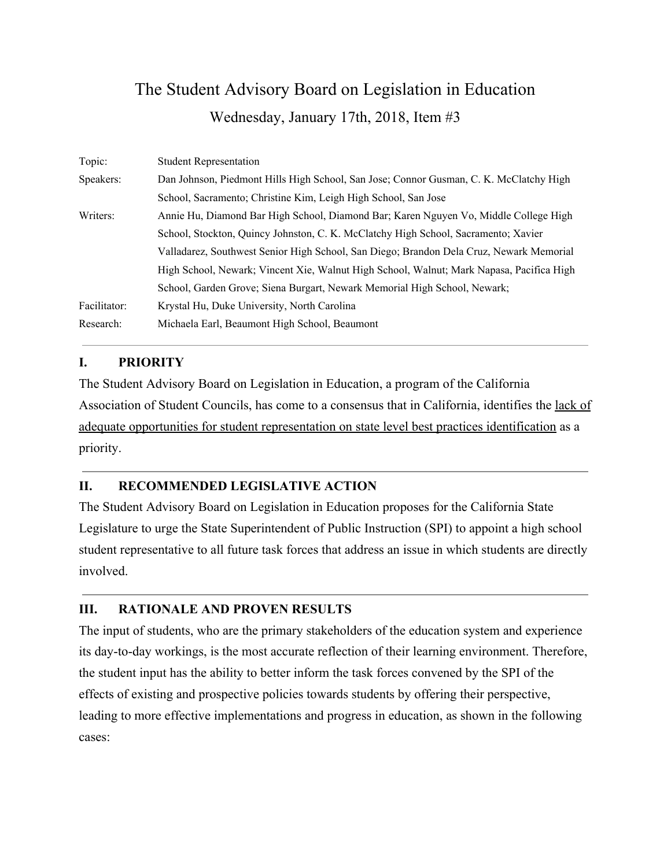# The Student Advisory Board on Legislation in Education Wednesday, January 17th, 2018, Item #3

| Topic:       | <b>Student Representation</b>                                                            |
|--------------|------------------------------------------------------------------------------------------|
| Speakers:    | Dan Johnson, Piedmont Hills High School, San Jose; Connor Gusman, C. K. McClatchy High   |
|              | School, Sacramento; Christine Kim, Leigh High School, San Jose                           |
| Writers:     | Annie Hu, Diamond Bar High School, Diamond Bar; Karen Nguyen Vo, Middle College High     |
|              | School, Stockton, Quincy Johnston, C. K. McClatchy High School, Sacramento; Xavier       |
|              | Valladarez, Southwest Senior High School, San Diego; Brandon Dela Cruz, Newark Memorial  |
|              | High School, Newark; Vincent Xie, Walnut High School, Walnut; Mark Napasa, Pacifica High |
|              | School, Garden Grove; Siena Burgart, Newark Memorial High School, Newark;                |
| Facilitator: | Krystal Hu, Duke University, North Carolina                                              |
| Research:    | Michaela Earl, Beaumont High School, Beaumont                                            |

## **I. PRIORITY**

The Student Advisory Board on Legislation in Education, a program of the California Association of Student Councils, has come to a consensus that in California, identifies the lack of adequate opportunities for student representation on state level best practices identification as a priority.

## **II. RECOMMENDED LEGISLATIVE ACTION**

The Student Advisory Board on Legislation in Education proposes for the California State Legislature to urge the State Superintendent of Public Instruction (SPI) to appoint a high school student representative to all future task forces that address an issue in which students are directly involved.

## **III. RATIONALE AND PROVEN RESULTS**

The input of students, who are the primary stakeholders of the education system and experience its day-to-day workings, is the most accurate reflection of their learning environment. Therefore, the student input has the ability to better inform the task forces convened by the SPI of the effects of existing and prospective policies towards students by offering their perspective, leading to more effective implementations and progress in education, as shown in the following cases: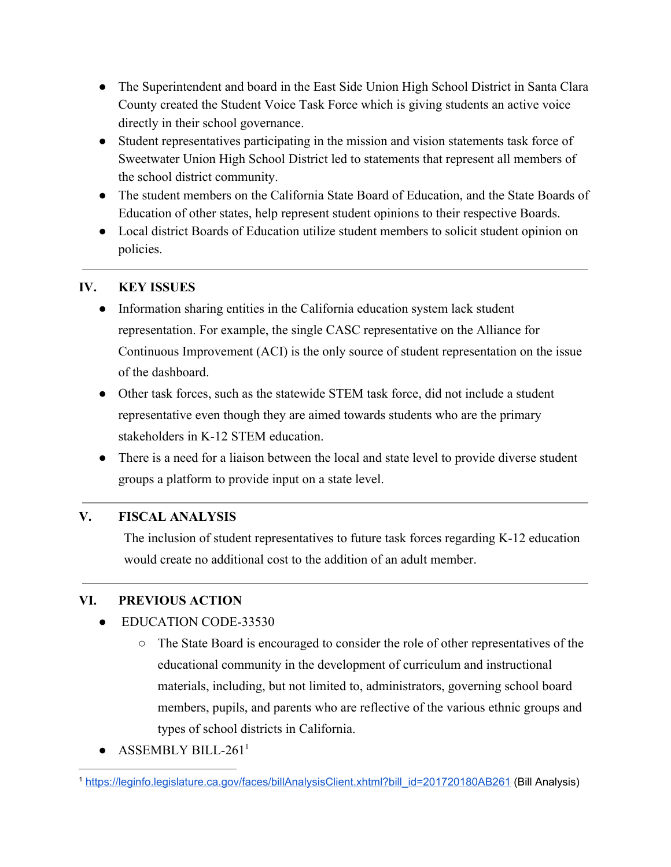- The Superintendent and board in the East Side Union High School District in Santa Clara County created the Student Voice Task Force which is giving students an active voice directly in their school governance.
- Student representatives participating in the mission and vision statements task force of Sweetwater Union High School District led to statements that represent all members of the school district community.
- The student members on the California State Board of Education, and the State Boards of Education of other states, help represent student opinions to their respective Boards.
- Local district Boards of Education utilize student members to solicit student opinion on policies.

## **IV. KEY ISSUES**

- Information sharing entities in the California education system lack student representation. For example, the single CASC representative on the Alliance for Continuous Improvement (ACI) is the only source of student representation on the issue of the dashboard.
- Other task forces, such as the statewide STEM task force, did not include a student representative even though they are aimed towards students who are the primary stakeholders in K-12 STEM education.
- There is a need for a liaison between the local and state level to provide diverse student groups a platform to provide input on a state level.

## **V. FISCAL ANALYSIS**

The inclusion of student representatives to future task forces regarding K-12 education would create no additional cost to the addition of an adult member.

## **VI. PREVIOUS ACTION**

- EDUCATION CODE-33530
	- The State Board is encouraged to consider the role of other representatives of the educational community in the development of curriculum and instructional materials, including, but not limited to, administrators, governing school board members, pupils, and parents who are reflective of the various ethnic groups and types of school districts in California.
- ASSEMBLY BILL-261<sup>1</sup>

<sup>1</sup> [https://leginfo.legislature.ca.gov/faces/billAnalysisClient.xhtml?bill\\_id=201720180AB261](https://leginfo.legislature.ca.gov/faces/billAnalysisClient.xhtml?bill_id=201720180AB261) (Bill Analysis)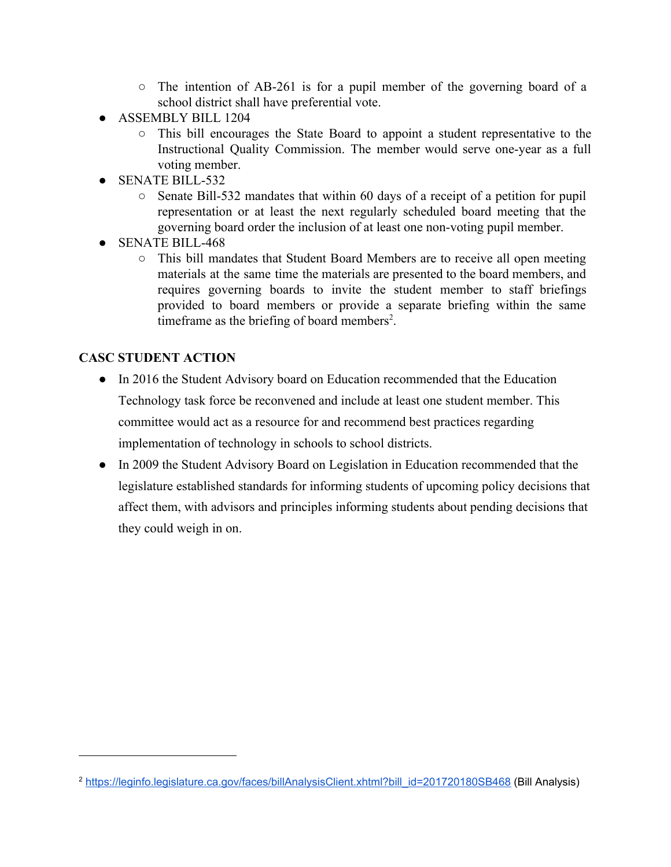- The intention of AB-261 is for a pupil member of the governing board of a school district shall have preferential vote.
- ASSEMBLY BILL 1204
	- This bill encourages the State Board to appoint a student representative to the Instructional Quality Commission. The member would serve one-year as a full voting member.
- SENATE BILL-532
	- Senate Bill-532 mandates that within 60 days of a receipt of a petition for pupil representation or at least the next regularly scheduled board meeting that the governing board order the inclusion of at least one non-voting pupil member.
- SENATE BILL-468
	- This bill mandates that Student Board Members are to receive all open meeting materials at the same time the materials are presented to the board members, and requires governing boards to invite the student member to staff briefings provided to board members or provide a separate briefing within the same timeframe as the briefing of board members<sup>2</sup>.

## **CASC STUDENT ACTION**

- In 2016 the Student Advisory board on Education recommended that the Education Technology task force be reconvened and include at least one student member. This committee would act as a resource for and recommend best practices regarding implementation of technology in schools to school districts.
- In 2009 the Student Advisory Board on Legislation in Education recommended that the legislature established standards for informing students of upcoming policy decisions that affect them, with advisors and principles informing students about pending decisions that they could weigh in on.

<sup>&</sup>lt;sup>2</sup> [https://leginfo.legislature.ca.gov/faces/billAnalysisClient.xhtml?bill\\_id=201720180SB468](https://leginfo.legislature.ca.gov/faces/billAnalysisClient.xhtml?bill_id=201720180SB468) (Bill Analysis)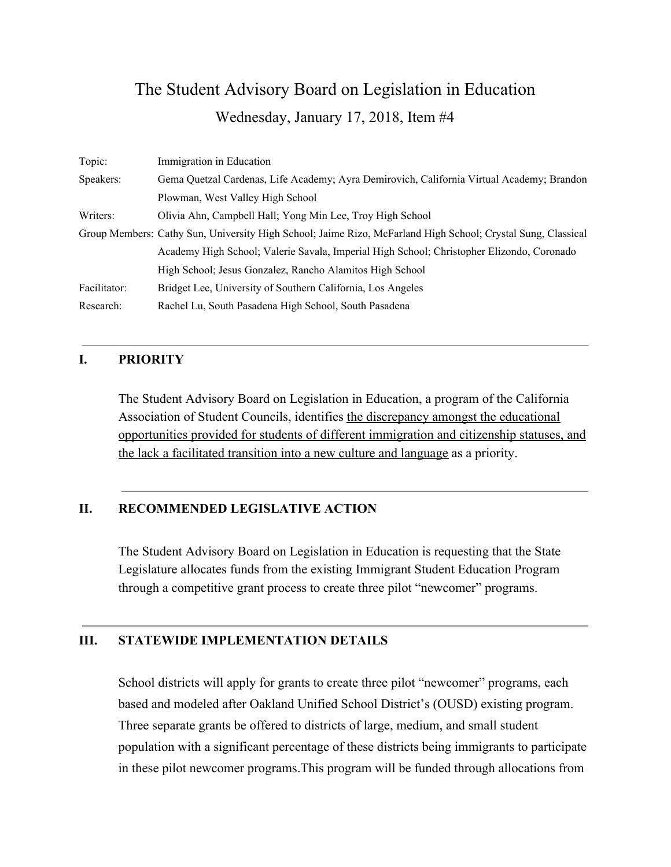## The Student Advisory Board on Legislation in Education Wednesday, January 17, 2018, Item #4

| Topic:       | Immigration in Education                                                                                     |
|--------------|--------------------------------------------------------------------------------------------------------------|
| Speakers:    | Gema Quetzal Cardenas, Life Academy; Ayra Demirovich, California Virtual Academy; Brandon                    |
|              | Plowman, West Valley High School                                                                             |
| Writers:     | Olivia Ahn, Campbell Hall; Yong Min Lee, Troy High School                                                    |
|              | Group Members: Cathy Sun, University High School; Jaime Rizo, McFarland High School; Crystal Sung, Classical |
|              | Academy High School; Valerie Savala, Imperial High School; Christopher Elizondo, Coronado                    |
|              | High School; Jesus Gonzalez, Rancho Alamitos High School                                                     |
| Facilitator: | Bridget Lee, University of Southern California, Los Angeles                                                  |
| Research:    | Rachel Lu, South Pasadena High School, South Pasadena                                                        |

### **I. PRIORITY**

The Student Advisory Board on Legislation in Education, a program of the California Association of Student Councils, identifies the discrepancy amongst the educational opportunities provided for students of different immigration and citizenship statuses, and the lack a facilitated transition into a new culture and language as a priority.

## **II. RECOMMENDED LEGISLATIVE ACTION**

The Student Advisory Board on Legislation in Education is requesting that the State Legislature allocates funds from the existing Immigrant Student Education Program through a competitive grant process to create three pilot "newcomer" programs.

## **III. STATEWIDE IMPLEMENTATION DETAILS**

School districts will apply for grants to create three pilot "newcomer" programs, each based and modeled after Oakland Unified School District's (OUSD) existing program. Three separate grants be offered to districts of large, medium, and small student population with a significant percentage of these districts being immigrants to participate in these pilot newcomer programs.This program will be funded through allocations from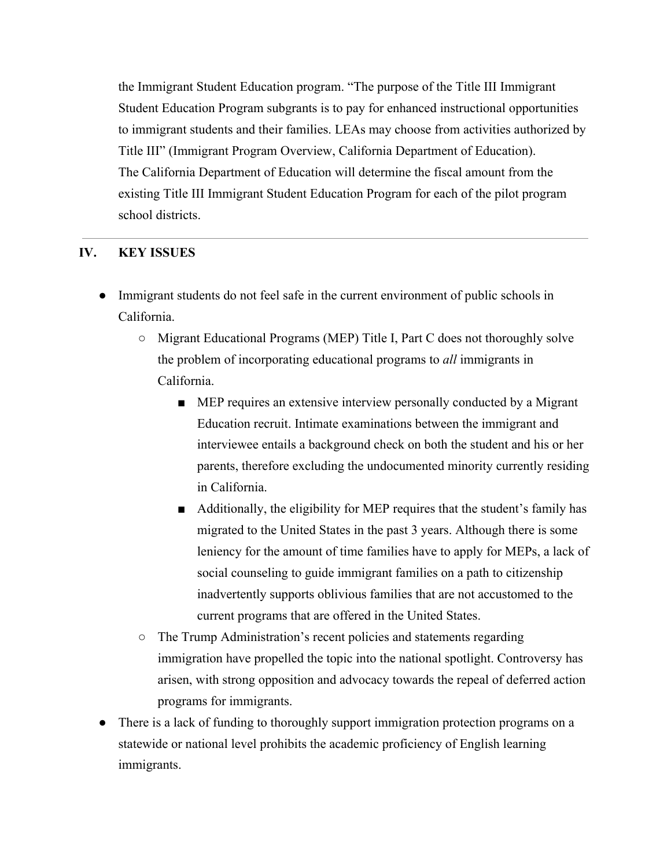the Immigrant Student Education program. "The purpose of the Title III Immigrant Student Education Program subgrants is to pay for enhanced instructional opportunities to immigrant students and their families. LEAs may choose from activities authorized by Title III" (Immigrant Program Overview, California Department of Education). The California Department of Education will determine the fiscal amount from the existing Title III Immigrant Student Education Program for each of the pilot program school districts.

## **IV. KEY ISSUES**

- Immigrant students do not feel safe in the current environment of public schools in California.
	- Migrant Educational Programs (MEP) Title I, Part C does not thoroughly solve the problem of incorporating educational programs to *all* immigrants in California.
		- MEP requires an extensive interview personally conducted by a Migrant Education recruit. Intimate examinations between the immigrant and interviewee entails a background check on both the student and his or her parents, therefore excluding the undocumented minority currently residing in California.
		- Additionally, the eligibility for MEP requires that the student's family has migrated to the United States in the past 3 years. Although there is some leniency for the amount of time families have to apply for MEPs, a lack of social counseling to guide immigrant families on a path to citizenship inadvertently supports oblivious families that are not accustomed to the current programs that are offered in the United States.
	- The Trump Administration's recent policies and statements regarding immigration have propelled the topic into the national spotlight. Controversy has arisen, with strong opposition and advocacy towards the repeal of deferred action programs for immigrants.
- There is a lack of funding to thoroughly support immigration protection programs on a statewide or national level prohibits the academic proficiency of English learning immigrants.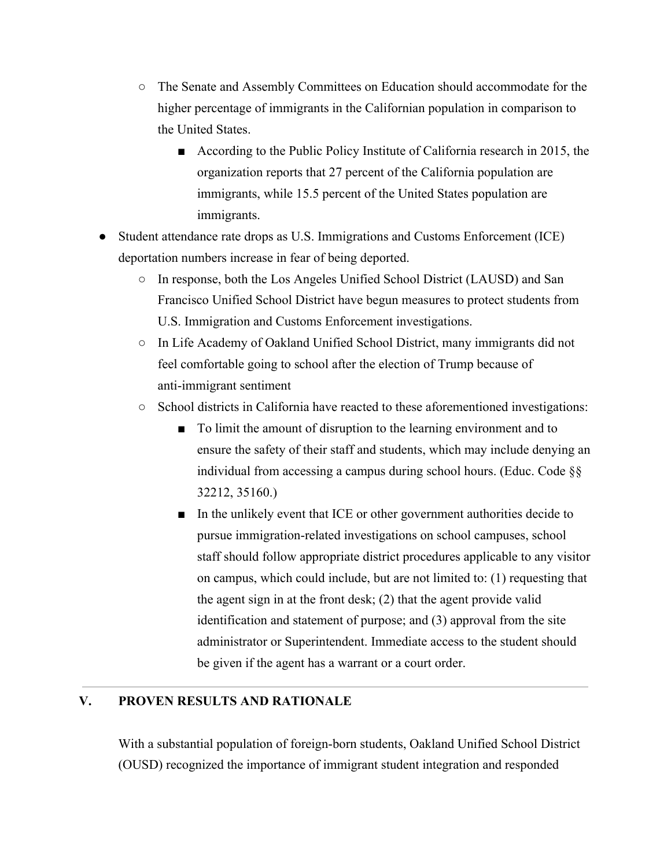- The Senate and Assembly Committees on Education should accommodate for the higher percentage of immigrants in the Californian population in comparison to the United States.
	- According to the Public Policy Institute of California research in 2015, the organization reports that 27 percent of the California population are immigrants, while 15.5 percent of the United States population are immigrants.
- Student attendance rate drops as U.S. Immigrations and Customs Enforcement (ICE) deportation numbers increase in fear of being deported.
	- In response, both the Los Angeles Unified School District (LAUSD) and San Francisco Unified School District have begun measures to protect students from U.S. Immigration and Customs Enforcement investigations.
	- In Life Academy of Oakland Unified School District, many immigrants did not feel comfortable going to school after the election of Trump because of anti-immigrant sentiment
	- School districts in California have reacted to these aforementioned investigations:
		- To limit the amount of disruption to the learning environment and to ensure the safety of their staff and students, which may include denying an individual from accessing a campus during school hours. (Educ. Code §§ 32212, 35160.)
		- In the unlikely event that ICE or other government authorities decide to pursue immigration-related investigations on school campuses, school staff should follow appropriate district procedures applicable to any visitor on campus, which could include, but are not limited to: (1) requesting that the agent sign in at the front desk; (2) that the agent provide valid identification and statement of purpose; and (3) approval from the site administrator or Superintendent. Immediate access to the student should be given if the agent has a warrant or a court order.

## **V. PROVEN RESULTS AND RATIONALE**

With a substantial population of foreign-born students, Oakland Unified School District (OUSD) recognized the importance of immigrant student integration and responded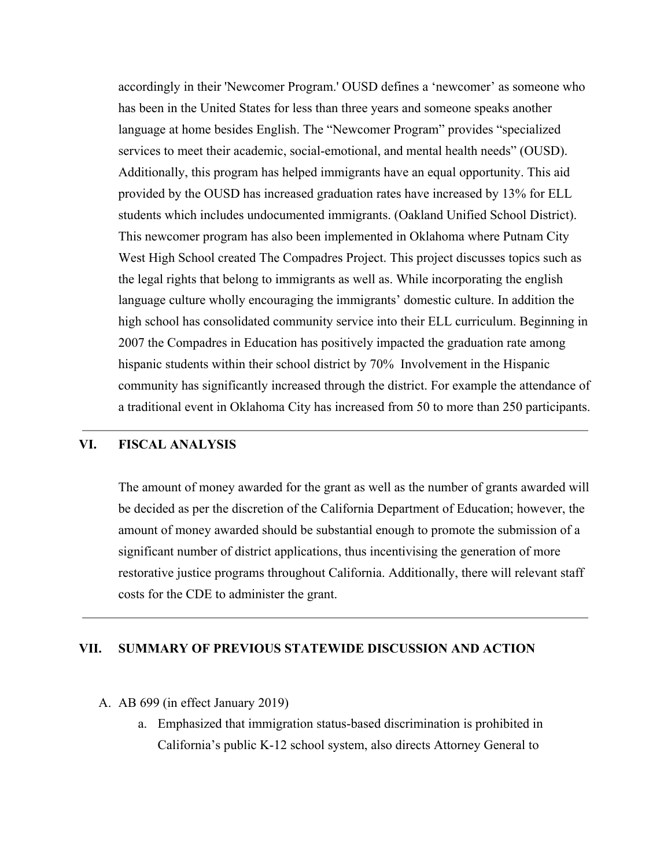accordingly in their 'Newcomer Program.' OUSD defines a 'newcomer' as someone who has been in the United States for less than three years and someone speaks another language at home besides English. The "Newcomer Program" provides "specialized services to meet their academic, social-emotional, and mental health needs" (OUSD). Additionally, this program has helped immigrants have an equal opportunity. This aid provided by the OUSD has increased graduation rates have increased by 13% for ELL students which includes undocumented immigrants. (Oakland Unified School District). This newcomer program has also been implemented in Oklahoma where Putnam City West High School created The Compadres Project. This project discusses topics such as the legal rights that belong to immigrants as well as. While incorporating the english language culture wholly encouraging the immigrants' domestic culture. In addition the high school has consolidated community service into their ELL curriculum. Beginning in 2007 the Compadres in Education has positively impacted the graduation rate among hispanic students within their school district by 70% Involvement in the Hispanic community has significantly increased through the district. For example the attendance of a traditional event in Oklahoma City has increased from 50 to more than 250 participants.

#### **VI. FISCAL ANALYSIS**

The amount of money awarded for the grant as well as the number of grants awarded will be decided as per the discretion of the California Department of Education; however, the amount of money awarded should be substantial enough to promote the submission of a significant number of district applications, thus incentivising the generation of more restorative justice programs throughout California. Additionally, there will relevant staff costs for the CDE to administer the grant.

#### **VII. SUMMARY OF PREVIOUS STATEWIDE DISCUSSION AND ACTION**

- A. AB 699 (in effect January 2019)
	- a. Emphasized that immigration status-based discrimination is prohibited in California's public K-12 school system, also directs Attorney General to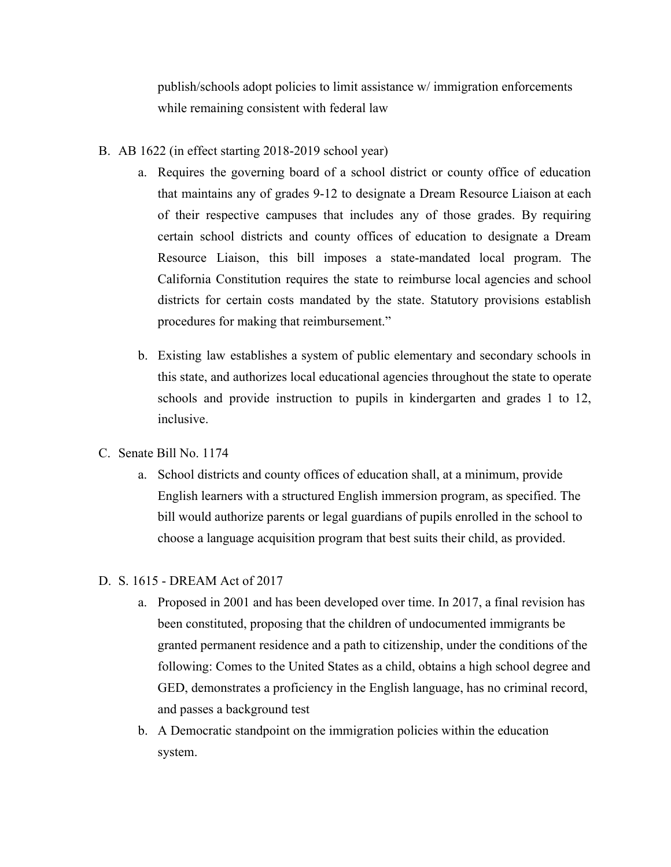publish/schools adopt policies to limit assistance w/ immigration enforcements while remaining consistent with federal law

- B. AB 1622 (in effect starting 2018-2019 school year)
	- a. Requires the governing board of a school district or county office of education that maintains any of grades 9-12 to designate a Dream Resource Liaison at each of their respective campuses that includes any of those grades. By requiring certain school districts and county offices of education to designate a Dream Resource Liaison, this bill imposes a state-mandated local program. The California Constitution requires the state to reimburse local agencies and school districts for certain costs mandated by the state. Statutory provisions establish procedures for making that reimbursement."
	- b. Existing law establishes a system of public elementary and secondary schools in this state, and authorizes local educational agencies throughout the state to operate schools and provide instruction to pupils in kindergarten and grades 1 to 12, inclusive.
- C. Senate Bill No. 1174
	- a. School districts and county offices of education shall, at a minimum, provide English learners with a structured English immersion program, as specified. The bill would authorize parents or legal guardians of pupils enrolled in the school to choose a language acquisition program that best suits their child, as provided.

#### D. S. 1615 - DREAM Act of 2017

- a. Proposed in 2001 and has been developed over time. In 2017, a final revision has been constituted, proposing that the children of undocumented immigrants be granted permanent residence and a path to citizenship, under the conditions of the following: Comes to the United States as a child, obtains a high school degree and GED, demonstrates a proficiency in the English language, has no criminal record, and passes a background test
- b. A Democratic standpoint on the immigration policies within the education system.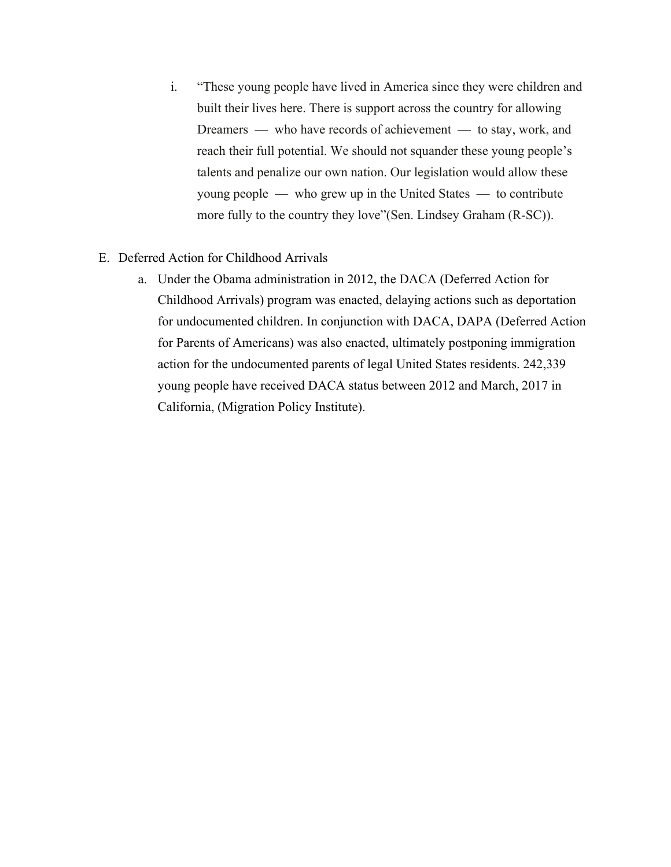- i. "These young people have lived in America since they were children and built their lives here. There is support across the country for allowing Dreamers — who have records of achievement — to stay, work, and reach their full potential. We should not squander these young people's talents and penalize our own nation. Our legislation would allow these young people — who grew up in the United States — to contribute more fully to the country they love"(Sen. Lindsey Graham (R-SC)).
- E. Deferred Action for Childhood Arrivals
	- a. Under the Obama administration in 2012, the DACA (Deferred Action for Childhood Arrivals) program was enacted, delaying actions such as deportation for undocumented children. In conjunction with DACA, DAPA (Deferred Action for Parents of Americans) was also enacted, ultimately postponing immigration action for the undocumented parents of legal United States residents. 242,339 young people have received DACA status between 2012 and March, 2017 in California, [\(Migration Policy Institute\)](http://www.migrationpolicy.org/programs/data-hub/deferred-action-childhood-arrivals-daca-profiles).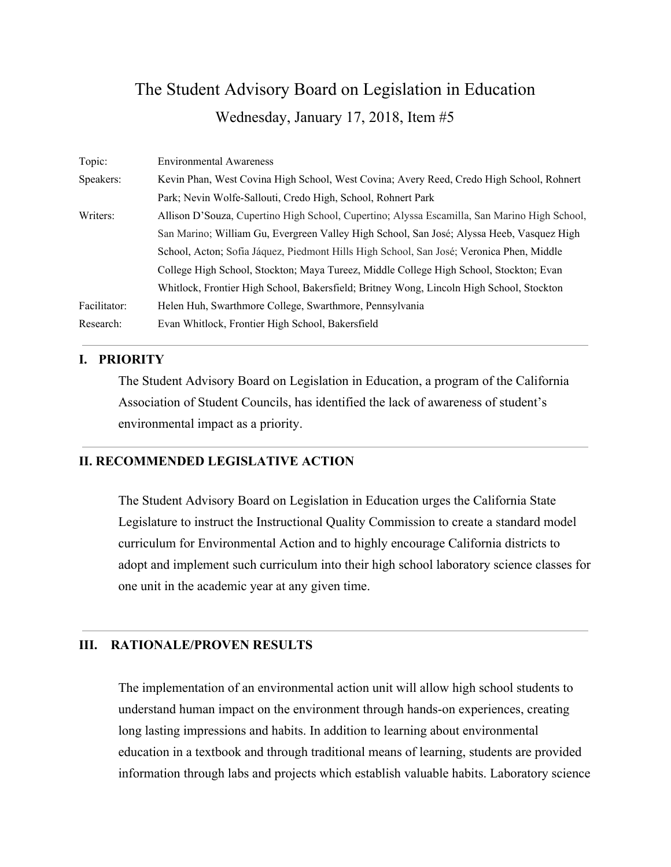## The Student Advisory Board on Legislation in Education Wednesday, January 17, 2018, Item #5

| Topic:       | <b>Environmental Awareness</b>                                                               |
|--------------|----------------------------------------------------------------------------------------------|
| Speakers:    | Kevin Phan, West Covina High School, West Covina; Avery Reed, Credo High School, Rohnert     |
|              | Park; Nevin Wolfe-Sallouti, Credo High, School, Rohnert Park                                 |
| Writers:     | Allison D'Souza, Cupertino High School, Cupertino; Alyssa Escamilla, San Marino High School, |
|              | San Marino; William Gu, Evergreen Valley High School, San José; Alyssa Heeb, Vasquez High    |
|              | School, Acton; Sofia Jáquez, Piedmont Hills High School, San José; Veronica Phen, Middle     |
|              | College High School, Stockton; Maya Tureez, Middle College High School, Stockton; Evan       |
|              | Whitlock, Frontier High School, Bakersfield; Britney Wong, Lincoln High School, Stockton     |
| Facilitator: | Helen Huh, Swarthmore College, Swarthmore, Pennsylvania                                      |
| Research:    | Evan Whitlock, Frontier High School, Bakersfield                                             |

### **I. PRIORITY**

The Student Advisory Board on Legislation in Education, a program of the California Association of Student Councils, has identified the lack of awareness of student's environmental impact as a priority.

#### **II. RECOMMENDED LEGISLATIVE ACTION**

The Student Advisory Board on Legislation in Education urges the California State Legislature to instruct the Instructional Quality Commission to create a standard model curriculum for Environmental Action and to highly encourage California districts to adopt and implement such curriculum into their high school laboratory science classes for one unit in the academic year at any given time.

### **III. RATIONALE/PROVEN RESULTS**

The implementation of an environmental action unit will allow high school students to understand human impact on the environment through hands-on experiences, creating long lasting impressions and habits. In addition to learning about environmental education in a textbook and through traditional means of learning, students are provided information through labs and projects which establish valuable habits. Laboratory science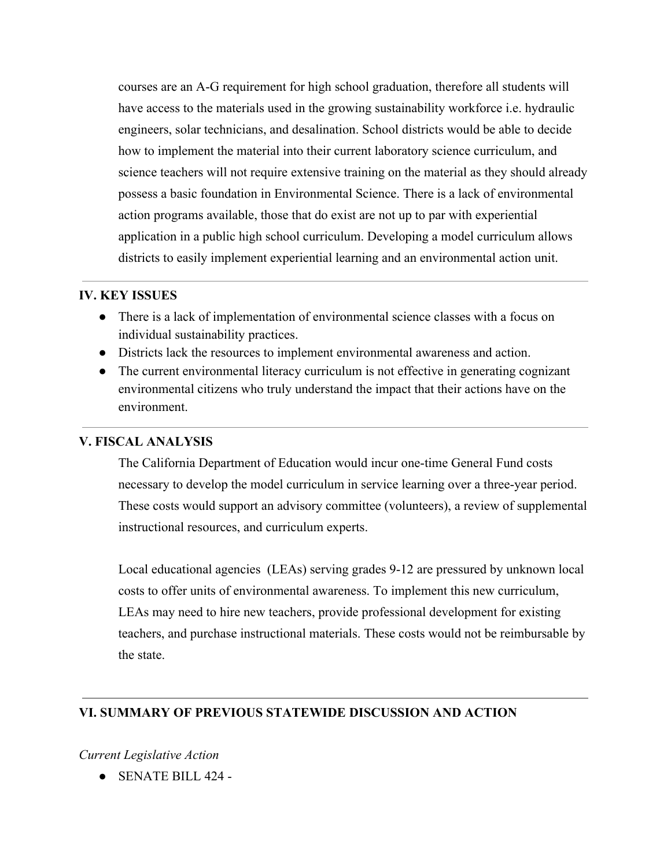courses are an A-G requirement for high school graduation, therefore all students will have access to the materials used in the growing sustainability workforce i.e. hydraulic engineers, solar technicians, and desalination. School districts would be able to decide how to implement the material into their current laboratory science curriculum, and science teachers will not require extensive training on the material as they should already possess a basic foundation in Environmental Science. There is a lack of environmental action programs available, those that do exist are not up to par with experiential application in a public high school curriculum. Developing a model curriculum allows districts to easily implement experiential learning and an environmental action unit.

#### **IV. KEY ISSUES**

- There is a lack of implementation of environmental science classes with a focus on individual sustainability practices.
- Districts lack the resources to implement environmental awareness and action.
- The current environmental literacy curriculum is not effective in generating cognizant environmental citizens who truly understand the impact that their actions have on the environment.

## **V. FISCAL ANALYSIS**

The California Department of Education would incur one-time General Fund costs necessary to develop the model curriculum in service learning over a three-year period. These costs would support an advisory committee (volunteers), a review of supplemental instructional resources, and curriculum experts.

Local educational agencies (LEAs) serving grades 9-12 are pressured by unknown local costs to offer units of environmental awareness. To implement this new curriculum, LEAs may need to hire new teachers, provide professional development for existing teachers, and purchase instructional materials. These costs would not be reimbursable by the state.

## **VI. SUMMARY OF PREVIOUS STATEWIDE DISCUSSION AND ACTION**

## *Current Legislative Action*

● SENATE BILL 424 -